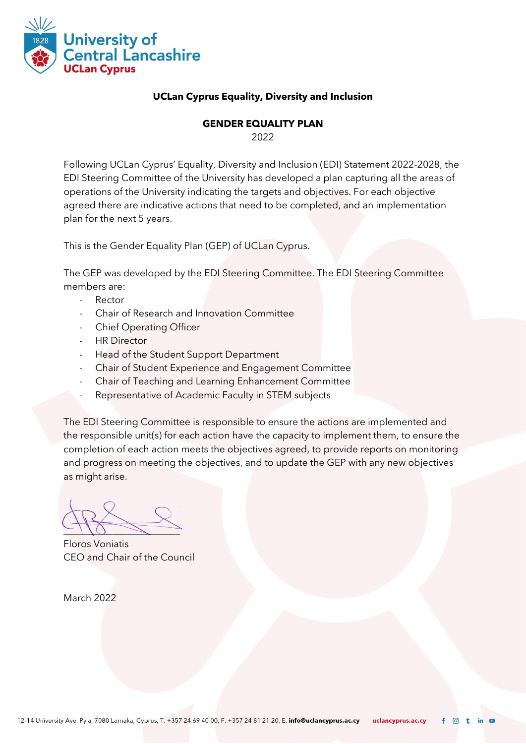

#### **UCLan Cyprus Equality, Diversity and Inclusion**

#### **GENDER EQUALITY PLAN**

2022

Following UCLan Cyprus' Equality, Diversity and Inclusion (EDI) Statement 2022-2028, the EDI Steering Committee of the University has developed a plan capturing all the areas of operations of the University indicating the targets and objectives. For each objective agreed there are indicative actions that need to be completed, and an implementation plan for the next 5 years.

This is the Gender Equality Plan (GEP) of UCLan Cyprus.

The GEP was developed by the EDI Steering Committee. The EDI Steering Committee members are:

- **Rector**
- Chair of Research and Innovation Committee
- Chief Operating Officer
- **HR Director**
- Head of the Student Support Department
- Chair of Student Experience and Engagement Committee
- Chair of Teaching and Learning Enhancement Committee
- Representative of Academic Faculty in STEM subjects

The EDI Steering Committee is responsible to ensure the actions are implemented and the responsible unit(s) for each action have the capacity to implement them, to ensure the completion of each action meets the objectives agreed, to provide reports on monitoring and progress on meeting the objectives, and to update the GEP with any new objectives as might arise.

 $\sim$   $\sim$   $\sim$   $\sim$ 

Floros Voniatis CEO and Chair of the Council

March 2022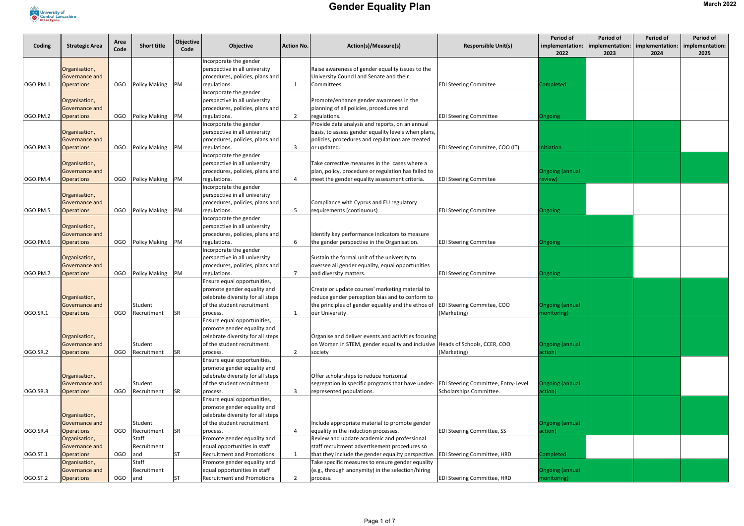

| Coding          | <b>Strategic Area</b>               | Area<br>Code | <b>Short title</b>      | Objective<br>Code | Objective                                       | <b>Action No.</b> | Action(s)/Measure(s)                                                                                 | <b>Responsible Unit(s)</b>                 | <b>Period of</b><br>implementation:<br>2022 | <b>Period of</b><br>$ $ implementation: $ $ implementation: $ $<br>2023 | <b>Period of</b><br>2024 | <b>Period of</b><br>implementation:<br>2025 |
|-----------------|-------------------------------------|--------------|-------------------------|-------------------|-------------------------------------------------|-------------------|------------------------------------------------------------------------------------------------------|--------------------------------------------|---------------------------------------------|-------------------------------------------------------------------------|--------------------------|---------------------------------------------|
|                 |                                     |              |                         |                   | Incorporate the gender                          |                   |                                                                                                      |                                            |                                             |                                                                         |                          |                                             |
|                 | Organisation,                       |              |                         |                   | perspective in all university                   |                   | Raise awareness of gender equality issues to the                                                     |                                            |                                             |                                                                         |                          |                                             |
|                 | <b>Governance and</b>               |              |                         |                   | procedures, policies, plans and                 |                   | University Council and Senate and their                                                              |                                            |                                             |                                                                         |                          |                                             |
| OGO.PM.1        | <b>Operations</b>                   | OGO          | Policy Making PM        |                   | regulations.                                    |                   | Committees.                                                                                          | <b>EDI Steering Commitee</b>               | Completed                                   |                                                                         |                          |                                             |
|                 |                                     |              |                         |                   | Incorporate the gender                          |                   |                                                                                                      |                                            |                                             |                                                                         |                          |                                             |
|                 | Organisation,                       |              |                         |                   | perspective in all university                   |                   | Promote/enhance gender awareness in the                                                              |                                            |                                             |                                                                         |                          |                                             |
|                 | Governance and                      |              |                         |                   | procedures, policies, plans and                 |                   | planning of all policies, procedures and                                                             |                                            |                                             |                                                                         |                          |                                             |
| <b>OGO.PM.2</b> | <b>Operations</b>                   | <b>OGO</b>   | Policy Making PM        |                   | regulations.                                    | $\overline{2}$    | regulations.                                                                                         | <b>EDI Steering Committee</b>              | Ongoing                                     |                                                                         |                          |                                             |
|                 |                                     |              |                         |                   | Incorporate the gender                          |                   | Provide data analysis and reports, on an annual                                                      |                                            |                                             |                                                                         |                          |                                             |
|                 | Organisation,                       |              |                         |                   | perspective in all university                   |                   | basis, to assess gender equality levels when plans,                                                  |                                            |                                             |                                                                         |                          |                                             |
|                 | <b>Governance and</b>               |              |                         |                   | procedures, policies, plans and                 |                   | policies, procedures and regulations are created                                                     |                                            |                                             |                                                                         |                          |                                             |
| OGO.PM.3        | <b>Operations</b>                   | OGO          | <b>Policy Making PM</b> |                   | regulations.                                    |                   | or updated.                                                                                          | <b>EDI Steering Commitee, COO (IT)</b>     | <b>Initiation</b>                           |                                                                         |                          |                                             |
|                 |                                     |              |                         |                   | Incorporate the gender                          |                   | Take corrective measures in the cases where a                                                        |                                            |                                             |                                                                         |                          |                                             |
|                 | Organisation,                       |              |                         |                   | perspective in all university                   |                   |                                                                                                      |                                            |                                             |                                                                         |                          |                                             |
| OGO.PM.4        | Governance and<br><b>Operations</b> | OGO          | <b>Policy Making PM</b> |                   | procedures, policies, plans and<br>regulations. |                   | plan, policy, procedure or regulation has failed to<br>meet the gender equality assessment criteria. | <b>EDI Steering Commitee</b>               | <b>Ongoing (annual</b><br>review)           |                                                                         |                          |                                             |
|                 |                                     |              |                         |                   | Incorporate the gender                          |                   |                                                                                                      |                                            |                                             |                                                                         |                          |                                             |
|                 | Organisation,                       |              |                         |                   | perspective in all university                   |                   |                                                                                                      |                                            |                                             |                                                                         |                          |                                             |
|                 | Governance and                      |              |                         |                   | procedures, policies, plans and                 |                   | Compliance with Cyprus and EU regulatory                                                             |                                            |                                             |                                                                         |                          |                                             |
| OGO.PM.5        | <b>Operations</b>                   | OGO          | <b>Policy Making PM</b> |                   | regulations.                                    | -5                | requirements (continuous)                                                                            | <b>EDI Steering Commitee</b>               |                                             |                                                                         |                          |                                             |
|                 |                                     |              |                         |                   | Incorporate the gender                          |                   |                                                                                                      |                                            | Ongoing                                     |                                                                         |                          |                                             |
|                 | Organisation,                       |              |                         |                   | perspective in all university                   |                   |                                                                                                      |                                            |                                             |                                                                         |                          |                                             |
|                 | <b>Governance and</b>               |              |                         |                   | procedures, policies, plans and                 |                   | Identify key performance indicators to measure                                                       |                                            |                                             |                                                                         |                          |                                             |
| OGO.PM.6        | <b>Operations</b>                   | OGO          | Policy Making PM        |                   | regulations.                                    | 6                 | the gender perspective in the Organisation.                                                          | <b>EDI Steering Commitee</b>               | Ongoing                                     |                                                                         |                          |                                             |
|                 |                                     |              |                         |                   | Incorporate the gender                          |                   |                                                                                                      |                                            |                                             |                                                                         |                          |                                             |
|                 | Organisation,                       |              |                         |                   | perspective in all university                   |                   | Sustain the formal unit of the university to                                                         |                                            |                                             |                                                                         |                          |                                             |
|                 | Governance and                      |              |                         |                   | procedures, policies, plans and                 |                   | oversee all gender equality, equal opportunities                                                     |                                            |                                             |                                                                         |                          |                                             |
| OGO.PM.7        | <b>Operations</b>                   | OGO          | Policy Making PM        |                   | regulations.                                    |                   | and diversity matters.                                                                               | <b>EDI Steering Commitee</b>               | Ongoing                                     |                                                                         |                          |                                             |
|                 |                                     |              |                         |                   | Ensure equal opportunities,                     |                   |                                                                                                      |                                            |                                             |                                                                         |                          |                                             |
|                 |                                     |              |                         |                   | promote gender equality and                     |                   | Create or update courses' marketing material to                                                      |                                            |                                             |                                                                         |                          |                                             |
|                 | Organisation,                       |              |                         |                   | celebrate diversity for all steps               |                   | reduce gender perception bias and to conform to                                                      |                                            |                                             |                                                                         |                          |                                             |
|                 | Governance and                      |              | Student                 |                   | of the student recruitment                      |                   | the principles of gender equality and the ethos of  EDI Steering Commitee, COO                       |                                            | <b>Ongoing (annual</b>                      |                                                                         |                          |                                             |
| OGO.SR.1        | <b>Operations</b>                   | <b>OGO</b>   | Recruitment             | <b>SR</b>         | process.                                        |                   | our University.                                                                                      | (Marketing)                                | monitoring)                                 |                                                                         |                          |                                             |
|                 |                                     |              |                         |                   | Ensure equal opportunities,                     |                   |                                                                                                      |                                            |                                             |                                                                         |                          |                                             |
|                 |                                     |              |                         |                   | promote gender equality and                     |                   |                                                                                                      |                                            |                                             |                                                                         |                          |                                             |
|                 | Organisation,                       |              |                         |                   | celebrate diversity for all steps               |                   | Organise and deliver events and activities focusing                                                  |                                            |                                             |                                                                         |                          |                                             |
|                 | Governance and                      |              | Student                 |                   | of the student recruitment                      |                   | on Women in STEM, gender equality and inclusive Heads of Schools, CCER, COO                          |                                            | <b>Ongoing (annual</b>                      |                                                                         |                          |                                             |
| OGO.SR.2        | <b>Operations</b>                   | <b>OGO</b>   | Recruitment             | <b>SR</b>         | process.                                        |                   | society                                                                                              | (Marketing)                                | action)                                     |                                                                         |                          |                                             |
|                 |                                     |              |                         |                   | Ensure equal opportunities,                     |                   |                                                                                                      |                                            |                                             |                                                                         |                          |                                             |
|                 |                                     |              |                         |                   | promote gender equality and                     |                   |                                                                                                      |                                            |                                             |                                                                         |                          |                                             |
|                 | Organisation,                       |              |                         |                   | celebrate diversity for all steps               |                   | Offer scholarships to reduce horizontal                                                              |                                            |                                             |                                                                         |                          |                                             |
|                 | Governance and                      |              | Student                 |                   | of the student recruitment                      |                   | segregation in specific programs that have under-                                                    | <b>EDI Steering Committee, Entry-Level</b> | <b>Ongoing (annual</b>                      |                                                                         |                          |                                             |
| OGO.SR.3        | <b>Operations</b>                   | <b>OGO</b>   | Recruitment             | <b>SR</b>         | process.                                        |                   | represented populations.                                                                             | Scholarships Committee.                    | action)                                     |                                                                         |                          |                                             |
|                 |                                     |              |                         |                   | Ensure equal opportunities,                     |                   |                                                                                                      |                                            |                                             |                                                                         |                          |                                             |
|                 |                                     |              |                         |                   | promote gender equality and                     |                   |                                                                                                      |                                            |                                             |                                                                         |                          |                                             |
|                 | Organisation,                       |              |                         |                   | celebrate diversity for all steps               |                   |                                                                                                      |                                            |                                             |                                                                         |                          |                                             |
|                 | Governance and                      |              | Student                 |                   | of the student recruitment                      |                   | Include appropriate material to promote gender                                                       |                                            | <b>Ongoing (annual</b>                      |                                                                         |                          |                                             |
| OGO.SR.4        | <b>Operations</b>                   | <b>OGO</b>   | Recruitment             | <b>SR</b>         | process.                                        |                   | equality in the induction processes.                                                                 | <b>EDI Steering Committee, SS</b>          | action)                                     |                                                                         |                          |                                             |
|                 | Organisation,                       |              | <b>Staff</b>            |                   | Promote gender equality and                     |                   | Review and update academic and professional                                                          |                                            |                                             |                                                                         |                          |                                             |
|                 | Governance and                      |              | Recruitment             |                   | equal opportunities in staff                    |                   | staff recruitment advertisement procedures so                                                        |                                            |                                             |                                                                         |                          |                                             |
| OGO.ST.1        | <b>Operations</b>                   | OGO          | and                     | <b>IST</b>        | <b>Recruitment and Promotions</b>               |                   | that they include the gender equality perspective.  EDI Steering Committee, HRD                      |                                            | Completed                                   |                                                                         |                          |                                             |
|                 | Organisation,                       |              | <b>Staff</b>            |                   | Promote gender equality and                     |                   | Take specific measures to ensure gender equality                                                     |                                            |                                             |                                                                         |                          |                                             |
|                 | Governance and                      |              | Recruitment             |                   | equal opportunities in staff                    |                   | (e.g., through anonymity) in the selection/hiring                                                    |                                            | <b>Ongoing (annual</b>                      |                                                                         |                          |                                             |
| OGO.ST.2        | <b>Operations</b>                   | OGO          | and                     | IST               | <b>Recruitment and Promotions</b>               |                   | process.                                                                                             | <b>EDI Steering Committee, HRD</b>         | monitoring)                                 |                                                                         |                          |                                             |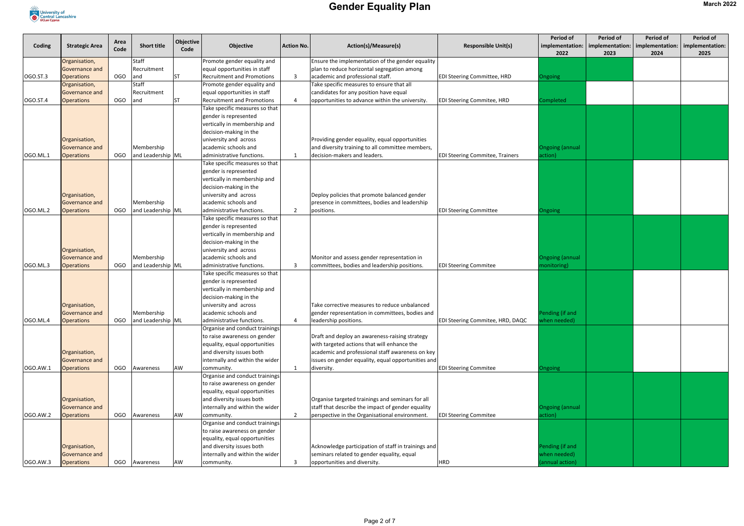

| Coding   | <b>Strategic Area</b>               | Area<br>Code | <b>Short title</b>              | Objective<br>Code | Objective                                                         | <b>Action No.</b> | Action(s)/Measure(s)                                                                              | <b>Responsible Unit(s)</b>              | <b>Period of</b>                | <b>Period of</b> | <b>Period of</b> | <b>Period of</b><br>$implementation:   implementation:   implementation:   implementation:$ |
|----------|-------------------------------------|--------------|---------------------------------|-------------------|-------------------------------------------------------------------|-------------------|---------------------------------------------------------------------------------------------------|-----------------------------------------|---------------------------------|------------------|------------------|---------------------------------------------------------------------------------------------|
|          |                                     |              |                                 |                   |                                                                   |                   |                                                                                                   |                                         | 2022                            | 2023             | 2024             | 2025                                                                                        |
|          | Organisation,                       |              | <b>Staff</b><br>Recruitment     |                   | Promote gender equality and                                       |                   | Ensure the implementation of the gender equality                                                  |                                         |                                 |                  |                  |                                                                                             |
| OGO.ST.3 | Governance and<br><b>Operations</b> | OGO          | and                             | <b>ST</b>         | equal opportunities in staff<br><b>Recruitment and Promotions</b> |                   | plan to reduce horizontal segregation among<br>academic and professional staff.                   | <b>EDI Steering Committee, HRD</b>      |                                 |                  |                  |                                                                                             |
|          | Organisation,                       |              | <b>Staff</b>                    |                   | Promote gender equality and                                       |                   | Take specific measures to ensure that all                                                         |                                         | Ongoing                         |                  |                  |                                                                                             |
|          | Governance and                      |              | Recruitment                     |                   | equal opportunities in staff                                      |                   | candidates for any position have equal                                                            |                                         |                                 |                  |                  |                                                                                             |
| OGO.ST.4 | <b>Operations</b>                   | OGO          | and                             | <b>ST</b>         | <b>Recruitment and Promotions</b>                                 |                   | opportunities to advance within the university.                                                   | <b>EDI Steering Commitee, HRD</b>       | Completed                       |                  |                  |                                                                                             |
|          |                                     |              |                                 |                   | Take specific measures so that                                    |                   |                                                                                                   |                                         |                                 |                  |                  |                                                                                             |
|          |                                     |              |                                 |                   | gender is represented                                             |                   |                                                                                                   |                                         |                                 |                  |                  |                                                                                             |
|          |                                     |              |                                 |                   | vertically in membership and                                      |                   |                                                                                                   |                                         |                                 |                  |                  |                                                                                             |
|          |                                     |              |                                 |                   | decision-making in the                                            |                   |                                                                                                   |                                         |                                 |                  |                  |                                                                                             |
|          | Organisation,                       |              |                                 |                   | university and across                                             |                   | Providing gender equality, equal opportunities                                                    |                                         |                                 |                  |                  |                                                                                             |
|          | Governance and                      |              | Membership                      |                   | academic schools and                                              |                   | and diversity training to all committee members,                                                  |                                         | <b>Ongoing (annual</b>          |                  |                  |                                                                                             |
| OGO.ML.1 | <b>Operations</b>                   | OGO          | and Leadership ML               |                   | administrative functions.                                         |                   | decision-makers and leaders.                                                                      | <b>EDI Steering Commitee, Trainers</b>  | action)                         |                  |                  |                                                                                             |
|          |                                     |              |                                 |                   | Take specific measures so that                                    |                   |                                                                                                   |                                         |                                 |                  |                  |                                                                                             |
|          |                                     |              |                                 |                   | gender is represented                                             |                   |                                                                                                   |                                         |                                 |                  |                  |                                                                                             |
|          |                                     |              |                                 |                   | vertically in membership and                                      |                   |                                                                                                   |                                         |                                 |                  |                  |                                                                                             |
|          |                                     |              |                                 |                   | decision-making in the                                            |                   |                                                                                                   |                                         |                                 |                  |                  |                                                                                             |
|          | Organisation,                       |              |                                 |                   | university and across                                             |                   | Deploy policies that promote balanced gender                                                      |                                         |                                 |                  |                  |                                                                                             |
|          | Governance and                      |              | Membership                      |                   | academic schools and                                              |                   | presence in committees, bodies and leadership                                                     |                                         |                                 |                  |                  |                                                                                             |
| OGO.ML.2 | <b>Operations</b>                   | <b>OGO</b>   | and Leadership ML               |                   | administrative functions.                                         | 2                 | positions.                                                                                        | <b>EDI Steering Committee</b>           | Ongoing                         |                  |                  |                                                                                             |
|          |                                     |              |                                 |                   | Take specific measures so that                                    |                   |                                                                                                   |                                         |                                 |                  |                  |                                                                                             |
|          |                                     |              |                                 |                   | gender is represented                                             |                   |                                                                                                   |                                         |                                 |                  |                  |                                                                                             |
|          |                                     |              |                                 |                   | vertically in membership and                                      |                   |                                                                                                   |                                         |                                 |                  |                  |                                                                                             |
|          |                                     |              |                                 |                   | decision-making in the                                            |                   |                                                                                                   |                                         |                                 |                  |                  |                                                                                             |
|          | Organisation,                       |              |                                 |                   | university and across                                             |                   |                                                                                                   |                                         |                                 |                  |                  |                                                                                             |
|          | Governance and                      |              | Membership<br>and Leadership ML |                   | academic schools and                                              |                   | Monitor and assess gender representation in                                                       |                                         | Ongoing (annual                 |                  |                  |                                                                                             |
| OGO.ML.3 | <b>Operations</b>                   | OGO          |                                 |                   | administrative functions.<br>Take specific measures so that       |                   | committees, bodies and leadership positions.                                                      | <b>EDI Steering Commitee</b>            | monitoring)                     |                  |                  |                                                                                             |
|          |                                     |              |                                 |                   | gender is represented                                             |                   |                                                                                                   |                                         |                                 |                  |                  |                                                                                             |
|          |                                     |              |                                 |                   | vertically in membership and                                      |                   |                                                                                                   |                                         |                                 |                  |                  |                                                                                             |
|          |                                     |              |                                 |                   | decision-making in the                                            |                   |                                                                                                   |                                         |                                 |                  |                  |                                                                                             |
|          | Organisation,                       |              |                                 |                   | university and across                                             |                   | Take corrective measures to reduce unbalanced                                                     |                                         |                                 |                  |                  |                                                                                             |
|          | Governance and                      |              | Membership                      |                   | academic schools and                                              |                   | gender representation in committees, bodies and                                                   |                                         | Pending (if and                 |                  |                  |                                                                                             |
| OGO.ML.4 | <b>Operations</b>                   | OGO          | and Leadership ML               |                   | administrative functions.                                         |                   | leadership positions.                                                                             | <b>EDI Steering Commitee, HRD, DAQC</b> | when needed)                    |                  |                  |                                                                                             |
|          |                                     |              |                                 |                   | Organise and conduct trainings                                    |                   |                                                                                                   |                                         |                                 |                  |                  |                                                                                             |
|          |                                     |              |                                 |                   | to raise awareness on gender                                      |                   | Draft and deploy an awareness-raising strategy                                                    |                                         |                                 |                  |                  |                                                                                             |
|          |                                     |              |                                 |                   | equality, equal opportunities                                     |                   | with targeted actions that will enhance the                                                       |                                         |                                 |                  |                  |                                                                                             |
|          | Organisation,                       |              |                                 |                   | and diversity issues both                                         |                   | academic and professional staff awareness on key                                                  |                                         |                                 |                  |                  |                                                                                             |
|          | Governance and                      |              |                                 |                   | internally and within the wider                                   |                   | issues on gender equality, equal opportunities and                                                |                                         |                                 |                  |                  |                                                                                             |
| OGO.AW.1 | <b>Operations</b>                   | OGO          | Awareness                       | AW                | community.                                                        |                   | diversity.                                                                                        | <b>EDI Steering Commitee</b>            | Ongoing                         |                  |                  |                                                                                             |
|          |                                     |              |                                 |                   | Organise and conduct trainings                                    |                   |                                                                                                   |                                         |                                 |                  |                  |                                                                                             |
|          |                                     |              |                                 |                   | to raise awareness on gender                                      |                   |                                                                                                   |                                         |                                 |                  |                  |                                                                                             |
|          |                                     |              |                                 |                   | equality, equal opportunities                                     |                   |                                                                                                   |                                         |                                 |                  |                  |                                                                                             |
|          | Organisation,                       |              |                                 |                   | and diversity issues both                                         |                   | Organise targeted trainings and seminars for all                                                  |                                         |                                 |                  |                  |                                                                                             |
|          | Governance and                      |              |                                 |                   | internally and within the wider                                   |                   | staff that describe the impact of gender equality                                                 |                                         | <b>Ongoing (annual</b>          |                  |                  |                                                                                             |
| OGO.AW.2 | <b>Operations</b>                   | OGO          | Awareness                       | AW                | community.                                                        |                   | perspective in the Organisational environment.                                                    | <b>EDI Steering Commitee</b>            | action)                         |                  |                  |                                                                                             |
|          |                                     |              |                                 |                   | Organise and conduct trainings                                    |                   |                                                                                                   |                                         |                                 |                  |                  |                                                                                             |
|          |                                     |              |                                 |                   | to raise awareness on gender                                      |                   |                                                                                                   |                                         |                                 |                  |                  |                                                                                             |
|          |                                     |              |                                 |                   | equality, equal opportunities                                     |                   |                                                                                                   |                                         |                                 |                  |                  |                                                                                             |
|          | Organisation,<br>Governance and     |              |                                 |                   | and diversity issues both<br>internally and within the wider      |                   | Acknowledge participation of staff in trainings and<br>seminars related to gender equality, equal |                                         | Pending (if and<br>when needed) |                  |                  |                                                                                             |
| OGO.AW.3 | <b>Operations</b>                   | OGO          | Awareness                       | AW                | community.                                                        |                   | opportunities and diversity.                                                                      | <b>HRD</b>                              | (annual action)                 |                  |                  |                                                                                             |
|          |                                     |              |                                 |                   |                                                                   |                   |                                                                                                   |                                         |                                 |                  |                  |                                                                                             |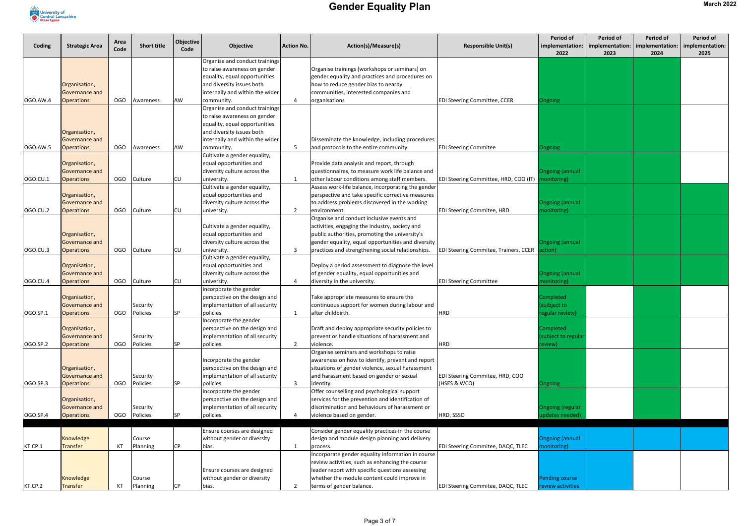

| Coding   | <b>Strategic Area</b>           | Area<br>Code | <b>Short title</b> | <b>Objective</b><br>Code | Objective                                                       | <b>Action No.</b> | Action(s)/Measure(s)                                                                                | <b>Responsible Unit(s)</b>                                 | <b>Period of</b><br>implementation:   implementation:<br>2022 | <b>Period of</b><br>2023 | <b>Period of</b><br>implementation:<br>2024 | <b>Period of</b><br>implementation:<br>2025 |
|----------|---------------------------------|--------------|--------------------|--------------------------|-----------------------------------------------------------------|-------------------|-----------------------------------------------------------------------------------------------------|------------------------------------------------------------|---------------------------------------------------------------|--------------------------|---------------------------------------------|---------------------------------------------|
|          |                                 |              |                    |                          | Organise and conduct trainings                                  |                   |                                                                                                     |                                                            |                                                               |                          |                                             |                                             |
|          |                                 |              |                    |                          | to raise awareness on gender                                    |                   | Organise trainings (workshops or seminars) on                                                       |                                                            |                                                               |                          |                                             |                                             |
|          |                                 |              |                    |                          | equality, equal opportunities                                   |                   | gender equality and practices and procedures on                                                     |                                                            |                                                               |                          |                                             |                                             |
|          | Organisation,                   |              |                    |                          | and diversity issues both                                       |                   | how to reduce gender bias to nearby                                                                 |                                                            |                                                               |                          |                                             |                                             |
|          | Governance and                  |              |                    |                          | internally and within the wider                                 |                   | communities, interested companies and                                                               |                                                            |                                                               |                          |                                             |                                             |
| OGO.AW.4 | <b>Operations</b>               | OGO          | Awareness          | AW                       | community.                                                      |                   | organisations                                                                                       | <b>EDI Steering Committee, CCER</b>                        | Ongoing                                                       |                          |                                             |                                             |
|          |                                 |              |                    |                          | Organise and conduct trainings<br>to raise awareness on gender  |                   |                                                                                                     |                                                            |                                                               |                          |                                             |                                             |
|          |                                 |              |                    |                          | equality, equal opportunities                                   |                   |                                                                                                     |                                                            |                                                               |                          |                                             |                                             |
|          | Organisation,                   |              |                    |                          | and diversity issues both                                       |                   |                                                                                                     |                                                            |                                                               |                          |                                             |                                             |
|          | Governance and                  |              |                    |                          | internally and within the wider                                 |                   | Disseminate the knowledge, including procedures                                                     |                                                            |                                                               |                          |                                             |                                             |
| OGO.AW.5 | <b>Operations</b>               | OGO          | Awareness          | AW                       | community.                                                      |                   | and protocols to the entire community.                                                              | <b>EDI Steering Commitee</b>                               | Ongoing                                                       |                          |                                             |                                             |
|          |                                 |              |                    |                          | Cultivate a gender equality,                                    |                   |                                                                                                     |                                                            |                                                               |                          |                                             |                                             |
|          | Organisation,                   |              |                    |                          | equal opportunities and                                         |                   | Provide data analysis and report, through                                                           |                                                            |                                                               |                          |                                             |                                             |
|          | Governance and                  |              |                    |                          | diversity culture across the                                    |                   | questionnaires, to measure work life balance and                                                    |                                                            | <b>Ongoing (annual</b>                                        |                          |                                             |                                             |
| 0GO.CU.1 | <b>Operations</b>               | OGO          | Culture            | <b>CU</b>                | university.                                                     |                   | other labour conditions among staff members.                                                        | <b>EDI Steering Committee, HRD, COO (IT)   monitoring)</b> |                                                               |                          |                                             |                                             |
|          |                                 |              |                    |                          | Cultivate a gender equality,                                    |                   | Assess work-life balance, incorporating the gender                                                  |                                                            |                                                               |                          |                                             |                                             |
|          | Organisation,                   |              |                    |                          | equal opportunities and                                         |                   | perspective and take specific corrective measures                                                   |                                                            |                                                               |                          |                                             |                                             |
|          | Governance and                  |              |                    |                          | diversity culture across the                                    |                   | to address problems discovered in the working                                                       |                                                            | <b>Ongoing (annual</b>                                        |                          |                                             |                                             |
| OGO.CU.2 | <b>Operations</b>               | OGO          | Culture            | <b>CU</b>                | university.                                                     |                   | environment.                                                                                        | <b>EDI Steering Commitee, HRD</b>                          | monitoring)                                                   |                          |                                             |                                             |
|          |                                 |              |                    |                          |                                                                 |                   | Organise and conduct inclusive events and                                                           |                                                            |                                                               |                          |                                             |                                             |
|          |                                 |              |                    |                          | Cultivate a gender equality,                                    |                   | activities, engaging the industry, society and                                                      |                                                            |                                                               |                          |                                             |                                             |
|          | Organisation,                   |              |                    |                          | equal opportunities and                                         |                   | public authorities, promoting the university's                                                      |                                                            |                                                               |                          |                                             |                                             |
|          | Governance and                  |              |                    |                          | diversity culture across the                                    |                   | gender equality, equal opportunities and diversity                                                  |                                                            | <b>Ongoing (annual</b>                                        |                          |                                             |                                             |
| OGO.CU.3 | <b>Operations</b>               | OGO          | Culture            | <b>CU</b>                | university.                                                     |                   | practices and strengthening social relationships.                                                   | <b>EDI Steering Commitee, Trainers, CCER</b>               | action)                                                       |                          |                                             |                                             |
|          |                                 |              |                    |                          | Cultivate a gender equality,                                    |                   |                                                                                                     |                                                            |                                                               |                          |                                             |                                             |
|          | Organisation,                   |              |                    |                          | equal opportunities and                                         |                   | Deploy a period assessment to diagnose the level                                                    |                                                            |                                                               |                          |                                             |                                             |
|          | Governance and                  |              |                    |                          | diversity culture across the                                    |                   | of gender equality, equal opportunities and                                                         |                                                            | <b>Ongoing (annual</b>                                        |                          |                                             |                                             |
| OGO.CU.4 | <b>Operations</b>               | OGO          | Culture            | <b>CU</b>                | university.                                                     |                   | diversity in the university.                                                                        | <b>EDI Steering Committee</b>                              | monitoring)                                                   |                          |                                             |                                             |
|          |                                 |              |                    |                          | Incorporate the gender                                          |                   |                                                                                                     |                                                            |                                                               |                          |                                             |                                             |
|          | Organisation,                   |              |                    |                          | perspective on the design and                                   |                   | Take appropriate measures to ensure the                                                             |                                                            | <b>Completed</b>                                              |                          |                                             |                                             |
|          | Governance and                  |              | Security           |                          | implementation of all security                                  |                   | continuous support for women during labour and                                                      |                                                            | (suibject to                                                  |                          |                                             |                                             |
| OGO.SP.1 | <b>Operations</b>               | OGO          | Policies           | <b>SP</b>                | policies.                                                       |                   | after childbirth.                                                                                   | <b>HRD</b>                                                 | regular review)                                               |                          |                                             |                                             |
|          |                                 |              |                    |                          | Incorporate the gender                                          |                   |                                                                                                     |                                                            |                                                               |                          |                                             |                                             |
|          | Organisation,<br>Governance and |              | Security           |                          | perspective on the design and<br>implementation of all security |                   | Draft and deploy appropriate security policies to<br>prevent or handle situations of harassment and |                                                            | Completed<br>(subject to regular                              |                          |                                             |                                             |
| OGO.SP.2 | <b>Operations</b>               | OGO          | Policies           | <b>SP</b>                | policies.                                                       | $\overline{2}$    | violence.                                                                                           | <b>HRD</b>                                                 | review)                                                       |                          |                                             |                                             |
|          |                                 |              |                    |                          |                                                                 |                   | Organise seminars and workshops to raise                                                            |                                                            |                                                               |                          |                                             |                                             |
|          |                                 |              |                    |                          | Incorporate the gender                                          |                   | awareness on how to identify, prevent and report                                                    |                                                            |                                                               |                          |                                             |                                             |
|          | Organisation,                   |              |                    |                          | perspective on the design and                                   |                   | situations of gender violence, sexual harassment                                                    |                                                            |                                                               |                          |                                             |                                             |
|          | Governance and                  |              | Security           |                          | implementation of all security                                  |                   | and harassment based on gender or sexual                                                            | <b>EDI Steering Commitee, HRD, COO</b>                     |                                                               |                          |                                             |                                             |
| OGO.SP.3 | <b>Operations</b>               | OGO          | Policies           | <b>SP</b>                | policies.                                                       |                   | identity.                                                                                           | (HSES & WCO)                                               | Ongoing                                                       |                          |                                             |                                             |
|          |                                 |              |                    |                          | Incorporate the gender                                          |                   | Offer counselling and psychological support                                                         |                                                            |                                                               |                          |                                             |                                             |
|          | Organisation,                   |              |                    |                          | perspective on the design and                                   |                   | services for the prevention and identification of                                                   |                                                            |                                                               |                          |                                             |                                             |
|          | Governance and                  |              | Security           |                          | implementation of all security                                  |                   | discrimination and behaviours of harassment or                                                      |                                                            | Ongoing (regular                                              |                          |                                             |                                             |
| OGO.SP.4 | <b>Operations</b>               | OGO          | Policies           | <b>SP</b>                | policies.                                                       |                   | violence based on gender.                                                                           | HRD, SSSO                                                  | updates needed)                                               |                          |                                             |                                             |
|          |                                 |              |                    |                          |                                                                 |                   |                                                                                                     |                                                            |                                                               |                          |                                             |                                             |
|          |                                 |              |                    |                          | Ensure courses are designed                                     |                   | Consider gender equality practices in the course                                                    |                                                            |                                                               |                          |                                             |                                             |
|          | Knowledge                       |              | Course             |                          | without gender or diversity                                     |                   | design and module design planning and delivery                                                      |                                                            | <b>Ongoing (annual</b>                                        |                          |                                             |                                             |
| KT.CP.1  | Transfer                        | KT           | Planning           | <b>CP</b>                | bias.                                                           |                   | process.                                                                                            | <b>EDI Steering Commitee, DAQC, TLEC</b>                   | monitoring)                                                   |                          |                                             |                                             |
|          |                                 |              |                    |                          |                                                                 |                   | Incorporate gender equality information in course                                                   |                                                            |                                                               |                          |                                             |                                             |
|          |                                 |              |                    |                          |                                                                 |                   | review activities, such as enhancing the course                                                     |                                                            |                                                               |                          |                                             |                                             |
|          |                                 |              |                    |                          | Ensure courses are designed                                     |                   | leader report with specific questions assessing                                                     |                                                            |                                                               |                          |                                             |                                             |
|          | Knowledge                       |              | Course             |                          | without gender or diversity                                     |                   | whether the module content could improve in                                                         |                                                            | <b>Pending course</b>                                         |                          |                                             |                                             |
| KT.CP.2  | Transfer                        | KT           | Planning           |                          | bias.                                                           |                   | terms of gender balance.                                                                            | <b>EDI Steering Commitee, DAQC, TLEC</b>                   | review activities                                             |                          |                                             |                                             |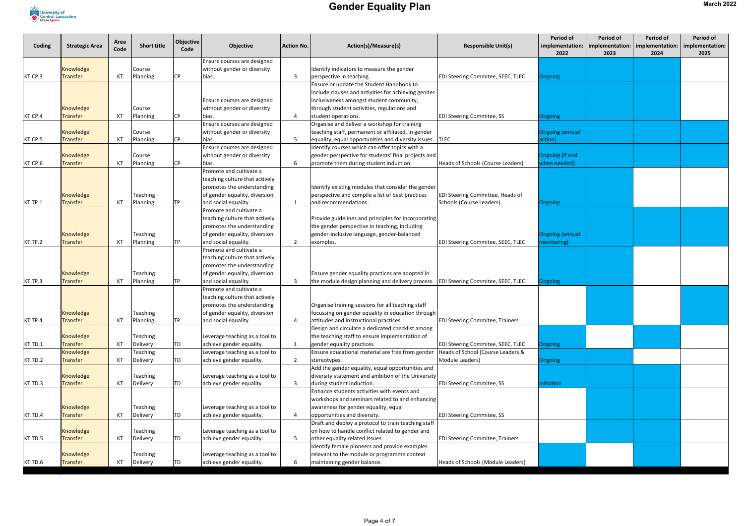

| Coding  | <b>Strategic Area</b> | Area<br>Code | <b>Short title</b>                 | <b>Objective</b><br>Code | Objective                                                    | <b>Action No.</b> | Action(s)/Measure(s)                                                                         | <b>Responsible Unit(s)</b>                           | <b>Period of</b><br>2022 | <b>Period of</b><br>implementation:   implementation:<br>2023 | <b>Period of</b><br>implementation:<br>2024 | <b>Period of</b><br>implementation:<br>2025 |
|---------|-----------------------|--------------|------------------------------------|--------------------------|--------------------------------------------------------------|-------------------|----------------------------------------------------------------------------------------------|------------------------------------------------------|--------------------------|---------------------------------------------------------------|---------------------------------------------|---------------------------------------------|
|         |                       |              |                                    |                          | Ensure courses are designed                                  |                   |                                                                                              |                                                      |                          |                                                               |                                             |                                             |
|         | Knowledge             |              | Course                             |                          | without gender or diversity                                  |                   | Identify indicators to measure the gender                                                    |                                                      |                          |                                                               |                                             |                                             |
| KT.CP.3 | Transfer              | KT           | Planning                           | <b>CP</b>                | bias.                                                        |                   | perspective in teaching.<br>Ensure or update the Student Handbook to                         | <b>EDI Steering Commitee, SEEC, TLEC</b>             | Ongoing                  |                                                               |                                             |                                             |
|         |                       |              |                                    |                          |                                                              |                   | include clauses and activities for achieving gender                                          |                                                      |                          |                                                               |                                             |                                             |
|         |                       |              |                                    |                          | Ensure courses are designed                                  |                   | inclusiveness amongst student community,                                                     |                                                      |                          |                                                               |                                             |                                             |
|         | Knowledge             |              | Course                             |                          | without gender or diversity                                  |                   | through student activities, regulations and                                                  |                                                      |                          |                                                               |                                             |                                             |
| KT.CP.4 | Transfer              | KT           | Planning                           | CP                       | bias.                                                        |                   | student operations.                                                                          | <b>EDI Steering Commitee, SS</b>                     | <b>Ongoing</b>           |                                                               |                                             |                                             |
|         |                       |              |                                    |                          | Ensure courses are designed                                  |                   | Organise and deliver a workshop for training                                                 |                                                      |                          |                                                               |                                             |                                             |
|         | Knowledge             |              | Course                             |                          | without gender or diversity                                  |                   | teaching staff, permanent or affiliated, in gender                                           |                                                      | <b>Ongoing (annual</b>   |                                                               |                                             |                                             |
| KT.CP.5 | Transfer              | KT           | Planning                           | <b>CP</b>                | bias.                                                        |                   | equality, equal opportunities and diversity issues. TLEC                                     |                                                      | action)                  |                                                               |                                             |                                             |
|         |                       |              |                                    |                          | Ensure courses are designed                                  |                   | Identify courses which can offer topics with a                                               |                                                      |                          |                                                               |                                             |                                             |
|         | Knowledge             |              | Course                             |                          | without gender or diversity                                  |                   | gender perspective for students' final projects and                                          |                                                      | Ongoing (if and          |                                                               |                                             |                                             |
| KT.CP.6 | Transfer              | KT           | Planning                           | CP                       | bias.<br>Promote and cultivate a                             |                   | promote them during student induction.                                                       | Heads of Schools (Course Leaders)                    | when needed)             |                                                               |                                             |                                             |
|         |                       |              |                                    |                          | teaching culture that actively                               |                   |                                                                                              |                                                      |                          |                                                               |                                             |                                             |
|         |                       |              |                                    |                          | promotes the understanding                                   |                   | Identify existing modules that consider the gender                                           |                                                      |                          |                                                               |                                             |                                             |
|         | Knowledge             |              | <b>Teaching</b>                    |                          | of gender equality, diversion                                |                   | perspective and compile a list of best practices                                             | <b>EDI Steering Committee, Heads of</b>              |                          |                                                               |                                             |                                             |
| KT.TP.1 | Transfer              | KT           | Planning                           | <b>TP</b>                | and social equality.                                         |                   | and recommendations.                                                                         | Schools (Course Leaders)                             | Ongoing                  |                                                               |                                             |                                             |
|         |                       |              |                                    |                          | Promote and cultivate a                                      |                   |                                                                                              |                                                      |                          |                                                               |                                             |                                             |
|         |                       |              |                                    |                          | teaching culture that actively                               |                   | Provide guidelines and principles for incorporating                                          |                                                      |                          |                                                               |                                             |                                             |
|         |                       |              |                                    |                          | promotes the understanding                                   |                   | the gender perspective in teaching, including                                                |                                                      |                          |                                                               |                                             |                                             |
|         | Knowledge             |              | <b>Teaching</b>                    |                          | of gender equality, diversion                                |                   | gender-inclusive language, gender-balanced                                                   |                                                      | <b>Ongoing (annual</b>   |                                                               |                                             |                                             |
| KT.TP.2 | Transfer              | KT           | Planning                           | TP                       | and social equality.                                         |                   | examples.                                                                                    | <b>EDI Steering Commitee, SEEC, TLEC</b>             | monitoring)              |                                                               |                                             |                                             |
|         |                       |              |                                    |                          | Promote and cultivate a                                      |                   |                                                                                              |                                                      |                          |                                                               |                                             |                                             |
|         |                       |              |                                    |                          | teaching culture that actively<br>promotes the understanding |                   |                                                                                              |                                                      |                          |                                                               |                                             |                                             |
|         | Knowledge             |              | Teaching                           |                          | of gender equality, diversion                                |                   | Ensure gender equality practices are adopted in                                              |                                                      |                          |                                                               |                                             |                                             |
| KT.TP.3 | Transfer              | KT           | Planning                           | <b>TP</b>                | and social equality.                                         |                   | the module design planning and delivery process. EDI Steering Commitee, SEEC, TLEC           |                                                      | <b>Ongoing</b>           |                                                               |                                             |                                             |
|         |                       |              |                                    |                          | Promote and cultivate a                                      |                   |                                                                                              |                                                      |                          |                                                               |                                             |                                             |
|         |                       |              |                                    |                          | teaching culture that actively                               |                   |                                                                                              |                                                      |                          |                                                               |                                             |                                             |
|         |                       |              |                                    |                          | promotes the understanding                                   |                   | Organise training sessions for all teaching staff                                            |                                                      |                          |                                                               |                                             |                                             |
|         | Knowledge             |              | Teaching                           |                          | of gender equality, diversion                                |                   | focussing on gender equality in education through                                            |                                                      |                          |                                                               |                                             |                                             |
| KT.TP.4 | Transfer              | KT           | Planning                           | TP                       | and social equality.                                         |                   | attitudes and instructional practices.                                                       | <b>EDI Steering Commitee, Trainers</b>               |                          |                                                               |                                             |                                             |
|         |                       |              |                                    |                          |                                                              |                   | Design and circulate a dedicated checklist among                                             |                                                      |                          |                                                               |                                             |                                             |
|         | Knowledge             |              | <b>Teaching</b>                    |                          | Leverage teaching as a tool to                               |                   | the teaching staff to ensure implementation of                                               |                                                      |                          |                                                               |                                             |                                             |
| KT.TD.1 | Transfer              | KT           | <b>Delivery</b>                    | <b>TD</b>                | achieve gender equality.                                     |                   | gender equality practices.                                                                   | <b>EDI Steering Commitee, SEEC, TLEC</b>             | <b>Ongoing</b>           |                                                               |                                             |                                             |
| KT.TD.2 | Knowledge<br>Transfer | KT           | <b>Teaching</b><br><b>Delivery</b> | TD                       | Leverage teaching as a tool to<br>achieve gender equality.   |                   | Ensure educational material are free from gender<br>stereotypes.                             | Heads of School (Course Leaders &<br>Module Leaders) |                          |                                                               |                                             |                                             |
|         |                       |              |                                    |                          |                                                              |                   | Add the gender equality, equal opportunities and                                             |                                                      | <b>Ongoing</b>           |                                                               |                                             |                                             |
|         | Knowledge             |              | Teaching                           |                          | Leverage teaching as a tool to                               |                   | diversity statement and ambition of the University                                           |                                                      |                          |                                                               |                                             |                                             |
| KT.TD.3 | Transfer              | KT           | Delivery                           | TD                       | achieve gender equality.                                     |                   | during student induction.                                                                    | <b>EDI Steering Commitee, SS</b>                     | Initiation               |                                                               |                                             |                                             |
|         |                       |              |                                    |                          |                                                              |                   | Enhance students activities with events and                                                  |                                                      |                          |                                                               |                                             |                                             |
|         |                       |              |                                    |                          |                                                              |                   | workshops and seminars related to and enhancing                                              |                                                      |                          |                                                               |                                             |                                             |
|         | Knowledge             |              | <b>Teaching</b>                    |                          | Leverage teaching as a tool to                               |                   | awareness for gender equality, equal                                                         |                                                      |                          |                                                               |                                             |                                             |
| KT.TD.4 | Transfer              | KT           | <b>Delivery</b>                    | TD                       | achieve gender equality.                                     |                   | opportunities and diversity.                                                                 | <b>EDI Steering Commitee, SS</b>                     |                          |                                                               |                                             |                                             |
|         |                       |              |                                    |                          |                                                              |                   | Draft and deploy a protocol to train teaching staff                                          |                                                      |                          |                                                               |                                             |                                             |
|         | Knowledge             |              | <b>Teaching</b>                    |                          | Leverage teaching as a tool to                               |                   | on how to handle conflict related to gender and                                              |                                                      |                          |                                                               |                                             |                                             |
| KT.TD.5 | Transfer              | KT           | <b>Delivery</b>                    | TD                       | achieve gender equality.                                     |                   | other equality related issues.                                                               | <b>EDI Steering Commitee, Trainers</b>               |                          |                                                               |                                             |                                             |
|         | Knowledge             |              | Teaching                           |                          | Leverage teaching as a tool to                               |                   | Identify female pioneers and provide examples<br>relevant to the module or programme context |                                                      |                          |                                                               |                                             |                                             |
| KT.TD.6 | Transfer              | KT           | Delivery                           | <b>TD</b>                | achieve gender equality.                                     |                   | maintaining gender balance.                                                                  | Heads of Schools (Module Leaders)                    |                          |                                                               |                                             |                                             |
|         |                       |              |                                    |                          |                                                              |                   |                                                                                              |                                                      |                          |                                                               |                                             |                                             |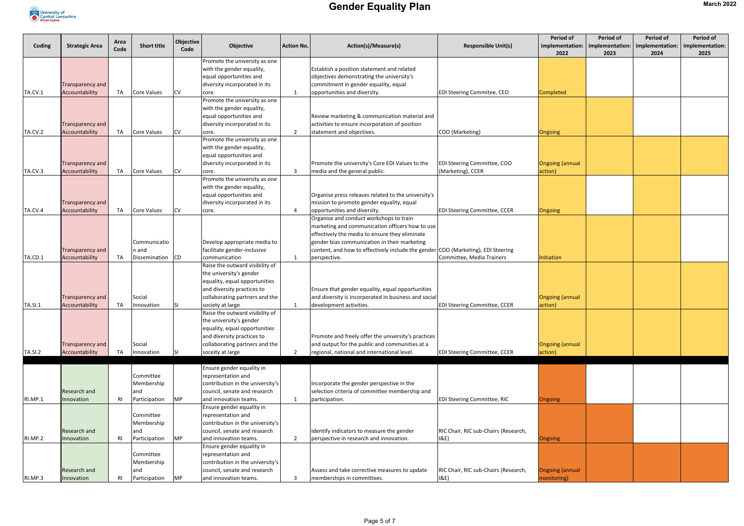

| Coding         | <b>Strategic Area</b>              | Area<br>Code | <b>Short title</b>                               | <b>Objective</b><br>Code | Objective                                                                                                                                                                       | <b>Action No.</b> | Action(s)/Measure(s)                                                                                                                                                                                                                                                                             | <b>Responsible Unit(s)</b>                           | <b>Period of</b><br>2022              | <b>Period of</b><br>implementation:   implementation:<br>2023 | <b>Period of</b><br>implementation:<br>2024 | <b>Period of</b><br>implementation:<br>2025 |
|----------------|------------------------------------|--------------|--------------------------------------------------|--------------------------|---------------------------------------------------------------------------------------------------------------------------------------------------------------------------------|-------------------|--------------------------------------------------------------------------------------------------------------------------------------------------------------------------------------------------------------------------------------------------------------------------------------------------|------------------------------------------------------|---------------------------------------|---------------------------------------------------------------|---------------------------------------------|---------------------------------------------|
|                | Transparency and                   |              |                                                  |                          | Promote the university as one<br>with the gender equality,<br>equal opportunities and<br>diversity incorporated in its                                                          |                   | Establish a position statement and related<br>objectives demonstrating the university's<br>commitment in gender equality, equal                                                                                                                                                                  |                                                      |                                       |                                                               |                                             |                                             |
| TA.CV.1        | Accountability                     | TA           | Core Values                                      | <b>CV</b>                | core.                                                                                                                                                                           |                   | opportunities and diversity.                                                                                                                                                                                                                                                                     | <b>EDI Steering Commitee, CEO</b>                    | Completed                             |                                                               |                                             |                                             |
|                | Transparency and                   |              |                                                  |                          | Promote the university as one<br>with the gender equality,<br>equal opportunities and<br>diversity incorporated in its                                                          |                   | Review marketing & communication material and<br>activities to ensure incorporation of position                                                                                                                                                                                                  |                                                      |                                       |                                                               |                                             |                                             |
| TA.CV.2        | Accountability                     | <b>TA</b>    | Core Values                                      | <b>CV</b>                | core.                                                                                                                                                                           |                   | statement and objectives.                                                                                                                                                                                                                                                                        | COO (Marketing)                                      | <b>Ongoing</b>                        |                                                               |                                             |                                             |
| TA.CV.3        | Transparency and<br>Accountability | <b>TA</b>    | Core Values                                      | <b>CV</b>                | Promote the university as one<br>with the gender equality,<br>equal opportunities and<br>diversity incorporated in its<br>core.                                                 |                   | Promote the university's Core EDI Values to the<br>media and the general public.                                                                                                                                                                                                                 | EDI Steering Committee, COO<br>(Marketing), CCER     | <b>Ongoing (annual</b><br>action)     |                                                               |                                             |                                             |
| TA.CV.4        | Transparency and<br>Accountability | <b>TA</b>    | Core Values                                      | <b>CV</b>                | Promote the university as one<br>with the gender equality,<br>equal opportunities and<br>diversity incorporated in its<br>core.                                                 |                   | Organise press releases related to the university's<br>mission to promote gender equality, equal<br>opportunities and diversity.                                                                                                                                                                 | <b>EDI Steering Committee, CCER</b>                  | Ongoing                               |                                                               |                                             |                                             |
| TA.CD.1        | Transparency and<br>Accountability | TA           | Communicatio<br>n and<br>Dissemination   CD      |                          | Develop appropriate media to<br>facilitate gender-inclusive<br>communication                                                                                                    |                   | Organise and conduct workshops to train<br>marketing and communication officers how to use<br>effectively the media to ensure they eliminate<br>gender bias communication in their marketing<br>content, and how to effectively include the gender COO (Marketing), EDI Steering<br>perspective. | Committee, Media Trainers                            | Initiation                            |                                                               |                                             |                                             |
| <b>TA.SI.1</b> | Transparency and<br>Accountability | TA           | Social<br>Innovation                             |                          | Raise the outward visibility of<br>the university's gender<br>equality, equal opportunities<br>and diversity practices to<br>collaborating partners and the<br>society at large |                   | Ensure that gender equality, equal opportunities<br>and diversity is incorporated in business and social<br>development activities.                                                                                                                                                              | <b>EDI Steering Committee, CCER</b>                  | <b>Ongoing (annual</b><br>action)     |                                                               |                                             |                                             |
| <b>TA.SI.2</b> | Transparency and<br>Accountability | <b>TA</b>    | Social<br>Innovation                             |                          | Raise the outward visibility of<br>the university's gender<br>equality, equal opportunities<br>and diversity practices to<br>collaborating partners and the<br>soceity at large |                   | Promote and freely offer the university's practices<br>and output for the public and communities at a<br>regional, national and international level.                                                                                                                                             | <b>EDI Steering Committee, CCER</b>                  | <b>Ongoing (annual</b><br>action)     |                                                               |                                             |                                             |
| RI.MP.1        | <b>Research and</b><br>Innovation  | <b>RI</b>    | Committee<br>Membership<br>land<br>Participation | MP                       | Ensure gender equality in<br>representation and<br>contribution in the university's<br>council, senate and research<br>and innovation teams.                                    |                   | Incorporate the gender perspective in the<br>selection criteria of committee membership and<br>participation.                                                                                                                                                                                    | <b>EDI Steering Committee, RIC</b>                   | <b>Ongoing</b>                        |                                                               |                                             |                                             |
| RI.MP.2        | <b>Research and</b><br>Innovation  | <b>RI</b>    | Committee<br>Membership<br>and<br>Participation  | MP                       | Ensure gender equality in<br>representation and<br>contribution in the university's<br>council, senate and research<br>and innovation teams.                                    |                   | Identify indicators to measure the gender<br>perspective in research and innovation.                                                                                                                                                                                                             | RIC Chair, RIC sub-Chairs (Research,<br>$ 8E\rangle$ | <b>Ongoing</b>                        |                                                               |                                             |                                             |
| RI.MP.3        | <b>Research and</b><br>Innovation  | <b>RI</b>    | Committee<br>Membership<br>and<br>Participation  | <b>MP</b>                | Ensure gender equality in<br>representation and<br>contribution in the university's<br>council, senate and research<br>and innovation teams.                                    |                   | Assess and take corrective measures to update<br>memberships in committees.                                                                                                                                                                                                                      | RIC Chair, RIC sub-Chairs (Research,<br>$ 8E\rangle$ | <b>Ongoing (annual</b><br>monitoring) |                                                               |                                             |                                             |
|                |                                    |              |                                                  |                          |                                                                                                                                                                                 |                   |                                                                                                                                                                                                                                                                                                  |                                                      |                                       |                                                               |                                             |                                             |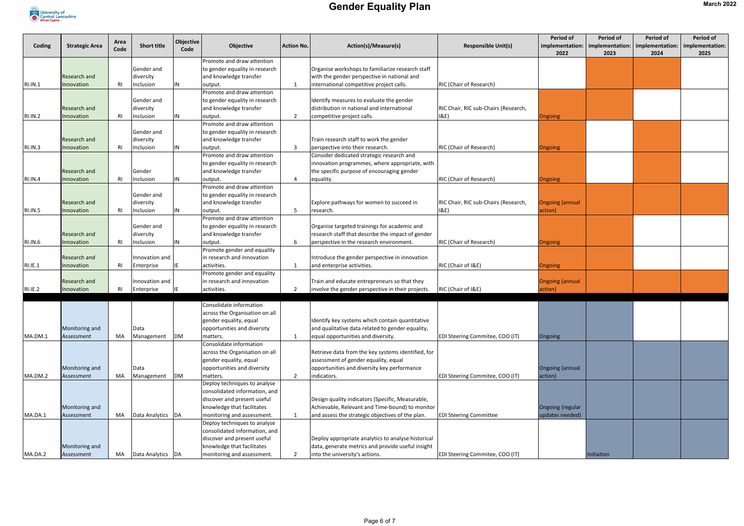

| Coding         | <b>Strategic Area</b>             | Area<br>Code   | <b>Short title</b>           | <b>Objective</b><br>Code | Objective                                                  | <b>Action No.</b> | Action(s)/Measure(s)                                                         | <b>Responsible Unit(s)</b>             | <b>Period of</b><br>implementation:<br>2022 | <b>Period of</b><br>2023 | <b>Period of</b><br>  implementation:   implementation:  <br>2024 | <b>Period of</b><br>implementation:<br>2025 |
|----------------|-----------------------------------|----------------|------------------------------|--------------------------|------------------------------------------------------------|-------------------|------------------------------------------------------------------------------|----------------------------------------|---------------------------------------------|--------------------------|-------------------------------------------------------------------|---------------------------------------------|
|                |                                   |                |                              |                          | Promote and draw attention                                 |                   |                                                                              |                                        |                                             |                          |                                                                   |                                             |
|                |                                   |                | <b>Gender</b> and            |                          | to gender equality in research                             |                   | Organise workshops to familiarize research staff                             |                                        |                                             |                          |                                                                   |                                             |
|                | <b>Research and</b>               |                | diversity                    |                          | and knowledge transfer                                     |                   | with the gender perspective in national and                                  |                                        |                                             |                          |                                                                   |                                             |
| <b>RI.IN.1</b> | Innovation                        | R <sub>l</sub> | Inclusion                    | $\overline{\mathsf{IN}}$ | output.<br>Promote and draw attention                      |                   | international competitive project calls.                                     | RIC (Chair of Research)                |                                             |                          |                                                                   |                                             |
|                |                                   |                | Gender and                   |                          | to gender equality in research                             |                   | Identify measures to evaluate the gender                                     |                                        |                                             |                          |                                                                   |                                             |
|                | <b>Research and</b>               |                | diversity                    |                          | and knowledge transfer                                     |                   | distribution in national and international                                   | RIC Chair, RIC sub-Chairs (Research,   |                                             |                          |                                                                   |                                             |
| <b>RI.IN.2</b> | Innovation                        | R <sub>l</sub> | Inclusion                    | IN.                      | output.                                                    |                   | competitive project calls.                                                   | $ 8E\rangle$                           | Ongoing                                     |                          |                                                                   |                                             |
|                |                                   |                |                              |                          | Promote and draw attention                                 |                   |                                                                              |                                        |                                             |                          |                                                                   |                                             |
|                |                                   |                | Gender and                   |                          | to gender equality in research                             |                   |                                                                              |                                        |                                             |                          |                                                                   |                                             |
|                | <b>Research and</b>               |                | diversity                    |                          | and knowledge transfer                                     |                   | Train research staff to work the gender                                      |                                        |                                             |                          |                                                                   |                                             |
| RI.IN.3        | Innovation                        | <b>RI</b>      | Inclusion                    | <b>IN</b>                | output.                                                    |                   | perspective into their research.                                             | RIC (Chair of Research)                | <b>Ongoing</b>                              |                          |                                                                   |                                             |
|                |                                   |                |                              |                          | Promote and draw attention                                 |                   | Consider dedicated strategic research and                                    |                                        |                                             |                          |                                                                   |                                             |
|                |                                   |                |                              |                          | to gender equality in research                             |                   | innovation programmes, where appropriate, with                               |                                        |                                             |                          |                                                                   |                                             |
|                | <b>Research and</b>               |                | Gender                       |                          | and knowledge transfer                                     |                   | the specific purpose of encouraging gender                                   |                                        |                                             |                          |                                                                   |                                             |
| <b>RI.IN.4</b> | Innovation                        | R <sub>l</sub> | Inclusion                    | IN                       | output.                                                    |                   | equality.                                                                    | <b>RIC (Chair of Research)</b>         | <b>Ongoing</b>                              |                          |                                                                   |                                             |
|                |                                   |                |                              |                          | Promote and draw attention                                 |                   |                                                                              |                                        |                                             |                          |                                                                   |                                             |
|                |                                   |                | <b>Gender</b> and            |                          | to gender equality in research                             |                   |                                                                              |                                        |                                             |                          |                                                                   |                                             |
|                | <b>Research and</b>               |                | diversity                    |                          | and knowledge transfer                                     |                   | Explore pathways for women to succeed in                                     | RIC Chair, RIC sub-Chairs (Research,   | <b>Ongoing (annual</b>                      |                          |                                                                   |                                             |
| <b>RI.IN.5</b> | Innovation                        | R <sub>l</sub> | Inclusion                    | <b>IN</b>                | output.                                                    | 5                 | research.                                                                    | $ 8E\rangle$                           | action)                                     |                          |                                                                   |                                             |
|                |                                   |                |                              |                          | Promote and draw attention                                 |                   |                                                                              |                                        |                                             |                          |                                                                   |                                             |
|                |                                   |                | Gender and                   |                          | to gender equality in research                             |                   | Organise targeted trainings for academic and                                 |                                        |                                             |                          |                                                                   |                                             |
|                | <b>Research and</b>               |                | diversity                    |                          | and knowledge transfer                                     |                   | research staff that describe the impact of gender                            |                                        |                                             |                          |                                                                   |                                             |
| RI.IN.6        | Innovation                        | R <sub>l</sub> | Inclusion                    | $\overline{\mathsf{IN}}$ | output.                                                    | 6                 | perspective in the research environment.                                     | <b>RIC (Chair of Research)</b>         | <b>Ongoing</b>                              |                          |                                                                   |                                             |
|                |                                   |                |                              |                          | Promote gender and equality<br>in research and innovation  |                   |                                                                              |                                        |                                             |                          |                                                                   |                                             |
| RI.IE.1        | <b>Research and</b><br>Innovation | R <sub>l</sub> | Innovation and<br>Enterprise |                          | activities.                                                |                   | Introduce the gender perspective in innovation<br>and enterprise activities. | RIC (Chair of I&E)                     |                                             |                          |                                                                   |                                             |
|                |                                   |                |                              |                          | Promote gender and equality                                |                   |                                                                              |                                        | Ongoing                                     |                          |                                                                   |                                             |
|                | Research and                      |                | Innovation and               |                          | in research and innovation                                 |                   | Train and educate entrepreneurs so that they                                 |                                        | <b>Ongoing (annual</b>                      |                          |                                                                   |                                             |
| <b>RI.IE.2</b> | Innovation                        | R <sub>l</sub> | Enterprise                   |                          | activities.                                                |                   | involve the gender perspective in their projects.                            | RIC (Chair of I&E)                     | action)                                     |                          |                                                                   |                                             |
|                |                                   |                |                              |                          |                                                            |                   |                                                                              |                                        |                                             |                          |                                                                   |                                             |
|                |                                   |                |                              |                          | Consolidate information                                    |                   |                                                                              |                                        |                                             |                          |                                                                   |                                             |
|                |                                   |                |                              |                          | across the Organisation on all                             |                   |                                                                              |                                        |                                             |                          |                                                                   |                                             |
|                |                                   |                |                              |                          | gender equality, equal                                     |                   | Identify key systems which contain quantitative                              |                                        |                                             |                          |                                                                   |                                             |
|                | Monitoring and                    |                | Data                         |                          | opportunities and diversity                                |                   | and qualitative data related to gender equality,                             |                                        |                                             |                          |                                                                   |                                             |
| MA.DM.1        | Assessment                        | MA             | Management   DM              |                          | matters.                                                   |                   | equal opportunities and diversity.                                           | <b>EDI Steering Commitee, COO (IT)</b> | <b>Ongoing</b>                              |                          |                                                                   |                                             |
|                |                                   |                |                              |                          | Consolidate information                                    |                   |                                                                              |                                        |                                             |                          |                                                                   |                                             |
|                |                                   |                |                              |                          | across the Organisation on all                             |                   | Retrieve data from the key systems identified, for                           |                                        |                                             |                          |                                                                   |                                             |
|                |                                   |                |                              |                          | gender equality, equal                                     |                   | assessment of gender equality, equal                                         |                                        |                                             |                          |                                                                   |                                             |
|                | Monitoring and                    |                | Data                         |                          | opportunities and diversity                                |                   | opportunities and diversity key performance                                  |                                        | <b>Ongoing (annual</b>                      |                          |                                                                   |                                             |
| MA.DM.2        | Assessment                        | MA             | Management                   | <b>DM</b>                | matters.                                                   |                   | indicators.                                                                  | <b>EDI Steering Commitee, COO (IT)</b> | action)                                     |                          |                                                                   |                                             |
|                |                                   |                |                              |                          | Deploy techniques to analyse                               |                   |                                                                              |                                        |                                             |                          |                                                                   |                                             |
|                |                                   |                |                              |                          | consolidated information, and                              |                   |                                                                              |                                        |                                             |                          |                                                                   |                                             |
|                |                                   |                |                              |                          | discover and present useful                                |                   | Design quality indicators (Specific, Measurable,                             |                                        |                                             |                          |                                                                   |                                             |
|                | Monitoring and                    |                |                              |                          | knowledge that facilitates                                 |                   | Achievable, Relevant and Time-bound) to monitor                              |                                        | Ongoing (regular                            |                          |                                                                   |                                             |
| MA.DA.1        | Assessment                        | MA             | Data Analytics DA            |                          | monitoring and assessment.<br>Deploy techniques to analyse |                   | and assess the strategic objectives of the plan.                             | <b>EDI Steering Committee</b>          | updates needed)                             |                          |                                                                   |                                             |
|                |                                   |                |                              |                          | consolidated information, and                              |                   |                                                                              |                                        |                                             |                          |                                                                   |                                             |
|                |                                   |                |                              |                          | discover and present useful                                |                   | Deploy appropriate analytics to analyse historical                           |                                        |                                             |                          |                                                                   |                                             |
|                | Monitoring and                    |                |                              |                          | knowledge that facilitates                                 |                   | data, generate metrics and provide useful insight                            |                                        |                                             |                          |                                                                   |                                             |
| MA.DA.2        | Assessment                        | MA             | Data Analytics   DA          |                          | monitoring and assessment.                                 |                   | into the university's actions.                                               | <b>EDI Steering Commitee, COO (IT)</b> |                                             | Initiation               |                                                                   |                                             |